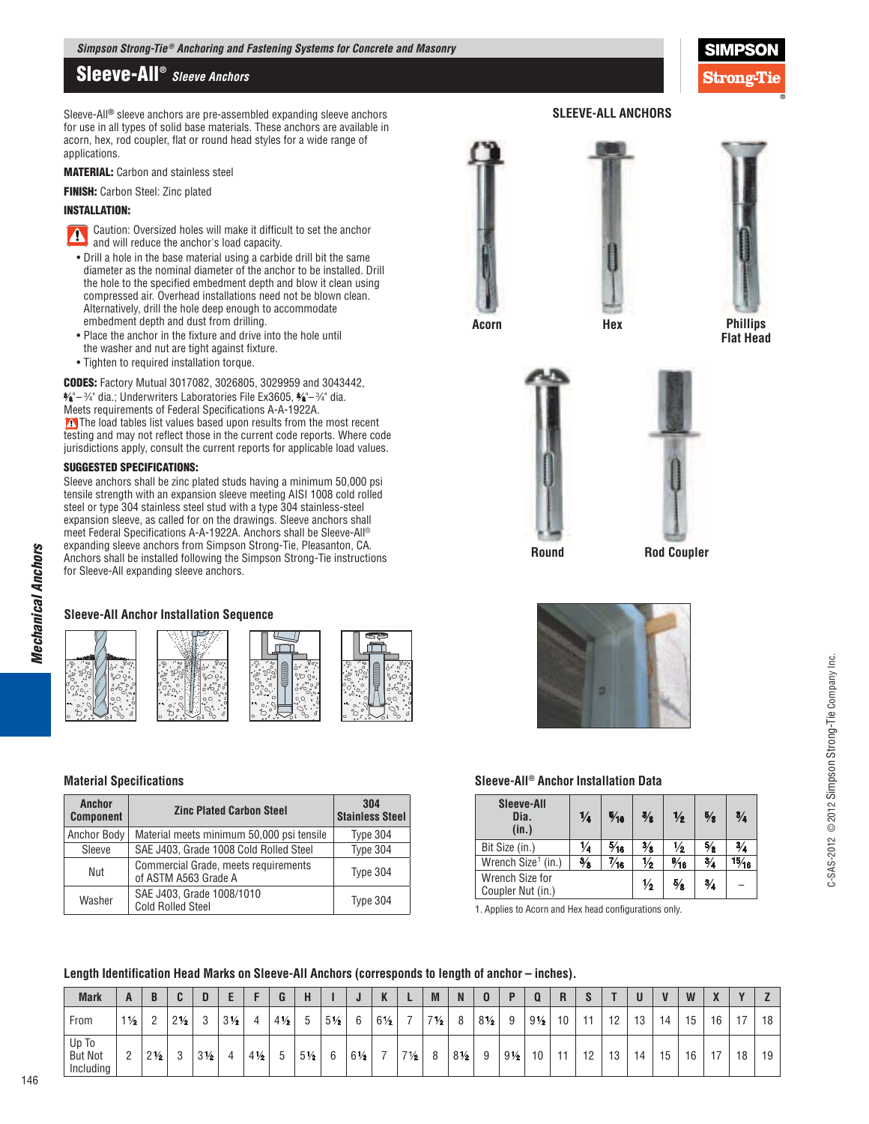# **Sleeve-All®**  *Sleeve Anchors*

Sleeve-All**®** sleeve anchors are pre-assembled expanding sleeve anchors for use in all types of solid base materials. These anchors are available in acorn, hex, rod coupler, flat or round head styles for a wide range of applications.

**MATERIAL:** Carbon and stainless steel

**FINISH:** Carbon Steel: Zinc plated

#### **INSTALLATION:**

- Caution: Oversized holes will make it difficult to set the anchor and will reduce the anchor's load capacity.
- Drill a hole in the base material using a carbide drill bit the same diameter as the nominal diameter of the anchor to be installed. Drill the hole to the specified embedment depth and blow it clean using compressed air. Overhead installations need not be blown clean. Alternatively, drill the hole deep enough to accommodate embedment depth and dust from drilling.
- Place the anchor in the fixture and drive into the hole until the washer and nut are tight against fixture.
- Tighten to required installation torque.

**CODES:** Factory Mutual 3017082, 3026805, 3029959 and 3043442, 3 ⁄8"– <sup>3</sup> ⁄4" dia.; Underwriters Laboratories File Ex3605, 3 ⁄8"– <sup>3</sup> ⁄4" dia. Meets requirements of Federal Specifications A-A-1922A. The load tables list values based upon results from the most recent testing and may not reflect those in the current code reports. Where code jurisdictions apply, consult the current reports for applicable load values.

#### **SUGGESTED SPECIFICATIONS:**

Sleeve anchors shall be zinc plated studs having a minimum 50,000 psi tensile strength with an expansion sleeve meeting AISI 1008 cold rolled steel or type 304 stainless steel stud with a type 304 stainless-steel expansion sleeve, as called for on the drawings. Sleeve anchors shall meet Federal Specifications A-A-1922A. Anchors shall be Sleeve-All® expanding sleeve anchors from Simpson Strong-Tie, Pleasanton, CA. Anchors shall be installed following the Simpson Strong-Tie instructions for Sleeve-All expanding sleeve anchors.

# **Sleeve-All Anchor Installation Sequence**



### **Material Specifications**

| Anchor<br><b>Component</b> | <b>Zinc Plated Carbon Steel</b>                              |          |  |  |  |
|----------------------------|--------------------------------------------------------------|----------|--|--|--|
| Anchor Body                | Material meets minimum 50,000 psi tensile                    | Type 304 |  |  |  |
| Sleeve                     | SAE J403, Grade 1008 Cold Rolled Steel                       | Type 304 |  |  |  |
| Nut                        | Commercial Grade, meets requirements<br>of ASTM A563 Grade A | Type 304 |  |  |  |
| Washer                     | SAE J403, Grade 1008/1010<br><b>Cold Rolled Steel</b>        | Type 304 |  |  |  |



**SLEEVE-ALL ANCHORS** 



Stronœ'I

**Phillips Flat Head** 





**Round** 

**Rod Coupler** 



#### $\textsf{Sleeve-AII}^{\textcircled{\text{B}}}$  Anchor Installation Data

| <b>Sleeve-All</b><br>Dia.<br>(in.)   | $\frac{1}{4}$ | $\frac{5}{16}$ | $\frac{3}{8}$ | $\frac{1}{2}$  | $\frac{5}{8}$ | $\frac{3}{4}$ |
|--------------------------------------|---------------|----------------|---------------|----------------|---------------|---------------|
| Bit Size (in.)                       | 1⁄4           | $\frac{5}{16}$ | $\frac{3}{8}$ | ⅓              | $\frac{5}{8}$ | $\frac{3}{4}$ |
| Wrench Size <sup>1</sup> (in.)       | $\frac{3}{8}$ | "∕16           | $\frac{1}{2}$ | $\frac{9}{16}$ | $\frac{3}{4}$ | 15/16         |
| Wrench Size for<br>Coupler Nut (in.) | $\frac{1}{2}$ | $\frac{5}{8}$  | $\frac{3}{4}$ |                |               |               |

1. Applies to Acorn and Hex head configurations only.

# Length Identification Head Marks on Sleeve-All Anchors (corresponds to length of anchor – inches).

| <b>Mark</b>                          | A              |                |                | υ              |                |                | n<br>u         |                |                |                | H.<br>n        |                | M              | N              |                |                |                 |    | e.   |    | U  |            | W  | $\overline{\mathbf{v}}$<br>71 |      |    |
|--------------------------------------|----------------|----------------|----------------|----------------|----------------|----------------|----------------|----------------|----------------|----------------|----------------|----------------|----------------|----------------|----------------|----------------|-----------------|----|------|----|----|------------|----|-------------------------------|------|----|
| From                                 | $1\frac{1}{2}$ | <sup>n</sup>   | $2\frac{1}{2}$ | n<br>ບ         | $3\frac{1}{2}$ | Δ              | $4\frac{1}{2}$ | .b             | $5\frac{1}{2}$ | А              | $6\frac{1}{2}$ |                | $7\frac{1}{2}$ | 8              | $8\frac{1}{2}$ | Q              | $9\frac{1}{2}$  | 10 | -4-4 | 10 | 13 | 4          | 15 | 16                            | $-1$ | 18 |
| Up To<br><b>But Not</b><br>Including |                | $2\frac{1}{2}$ | $\sqrt{2}$     | $3\frac{1}{2}$ | 4              | $4\frac{1}{2}$ | h              | $5\frac{1}{2}$ | 6              | $6\frac{1}{2}$ | -              | $7\frac{1}{2}$ |                | $8\frac{1}{2}$ | 9              | $9\frac{1}{2}$ | 10 <sup>°</sup> | -4 | 12   | 13 | 14 | <b>' Б</b> | 16 | $-1$                          | 18   | 19 |